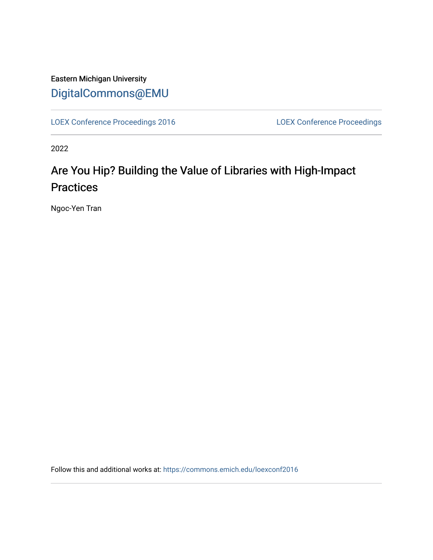### Eastern Michigan University [DigitalCommons@EMU](https://commons.emich.edu/)

[LOEX Conference Proceedings 2016](https://commons.emich.edu/loexconf2016) [LOEX Conference Proceedings](https://commons.emich.edu/loexconf) 

2022

## Are You Hip? Building the Value of Libraries with High-Impact **Practices**

Ngoc-Yen Tran

Follow this and additional works at: [https://commons.emich.edu/loexconf2016](https://commons.emich.edu/loexconf2016?utm_source=commons.emich.edu%2Floexconf2016%2F3&utm_medium=PDF&utm_campaign=PDFCoverPages)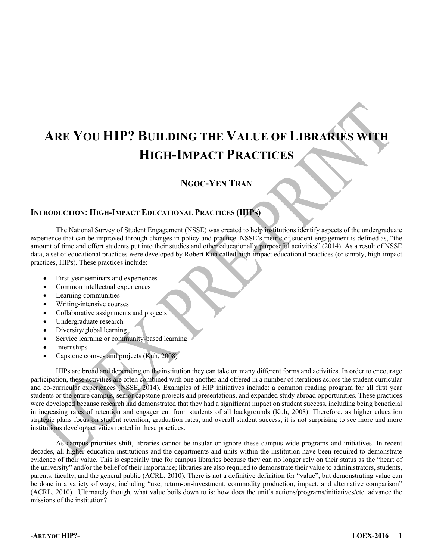# **ARE YOU HIP? BUILDING THE VALUE OF LIBRARIES WITH HIGH-IMPACT PRACTICES**

#### **NGOC-YEN TRAN**

#### **INTRODUCTION: HIGH-IMPACT EDUCATIONAL PRACTICES (HIPS)**

The National Survey of Student Engagement (NSSE) was created to help institutions identify aspects of the undergraduate experience that can be improved through changes in policy and practice. NSSE's metric of student engagement is defined as, "the amount of time and effort students put into their studies and other educationally purposeful activities" (2014). As a result of NSSE data, a set of educational practices were developed by Robert Kuh called high-impact educational practices (or simply, high-impact practices, HIPs). These practices include:

- First-year seminars and experiences
- Common intellectual experiences
- Learning communities
- Writing-intensive courses
- Collaborative assignments and projects
- Undergraduate research
- Diversity/global learning
- Service learning or community-based learning
- Internships
- Capstone courses and projects (Kuh, 2008)

HIPs are broad and depending on the institution they can take on many different forms and activities. In order to encourage participation, these activities are often combined with one another and offered in a number of iterations across the student curricular and co-curricular experiences (NSSE, 2014). Examples of HIP initiatives include: a common reading program for all first year students or the entire campus, senior capstone projects and presentations, and expanded study abroad opportunities. These practices were developed because research had demonstrated that they had a significant impact on student success, including being beneficial in increasing rates of retention and engagement from students of all backgrounds (Kuh, 2008). Therefore, as higher education strategic plans focus on student retention, graduation rates, and overall student success, it is not surprising to see more and more institutions develop activities rooted in these practices.

As campus priorities shift, libraries cannot be insular or ignore these campus-wide programs and initiatives. In recent decades, all higher education institutions and the departments and units within the institution have been required to demonstrate evidence of their value. This is especially true for campus libraries because they can no longer rely on their status as the "heart of the university" and/or the belief of their importance; libraries are also required to demonstrate their value to administrators, students, parents, faculty, and the general public (ACRL, 2010). There is not a definitive definition for "value", but demonstrating value can be done in a variety of ways, including "use, return-on-investment, commodity production, impact, and alternative comparison" (ACRL, 2010). Ultimately though, what value boils down to is: how does the unit's actions/programs/initiatives/etc. advance the missions of the institution?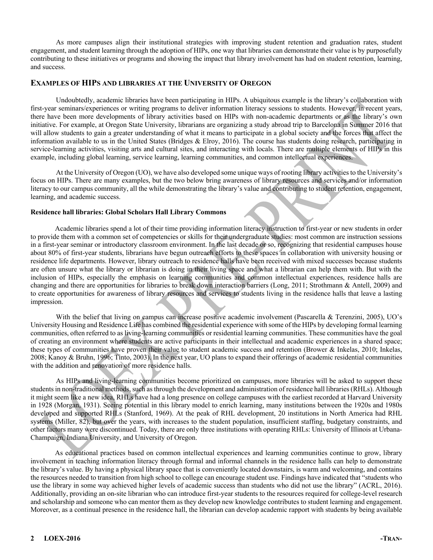As more campuses align their institutional strategies with improving student retention and graduation rates, student engagement, and student learning through the adoption of HIPs, one way that libraries can demonstrate their value is by purposefully contributing to these initiatives or programs and showing the impact that library involvement has had on student retention, learning, and success.

#### **EXAMPLES OF HIPS AND LIBRARIES AT THE UNIVERSITY OF OREGON**

Undoubtedly, academic libraries have been participating in HIPs. A ubiquitous example is the library's collaboration with first-year seminars/experiences or writing programs to deliver information literacy sessions to students. However, in recent years, there have been more developments of library activities based on HIPs with non-academic departments or as the library's own initiative. For example, at Oregon State University, librarians are organizing a study abroad trip to Barcelona in Summer 2016 that will allow students to gain a greater understanding of what it means to participate in a global society and the forces that affect the information available to us in the United States (Bridges & Elroy, 2016). The course has students doing research, participating in service-learning activities, visiting arts and cultural sites, and interacting with locals. There are multiple elements of HIPs in this example, including global learning, service learning, learning communities, and common intellectual experiences.

At the University of Oregon (UO), we have also developed some unique ways of rooting library activities to the University's focus on HIPs. There are many examples, but the two below bring awareness of library resources and services and/or information literacy to our campus community, all the while demonstrating the library's value and contributing to student retention, engagement, learning, and academic success.

#### **Residence hall libraries: Global Scholars Hall Library Commons**

Academic libraries spend a lot of their time providing information literacy instruction to first-year or new students in order to provide them with a common set of competencies or skills for their undergraduate studies: most common are instruction sessions in a first-year seminar or introductory classroom environment. In the last decade or so, recognizing that residential campuses house about 80% of first-year students, librarians have begun outreach efforts to these spaces in collaboration with university housing or residence life departments. However, library outreach to residence halls have been received with mixed successes because students are often unsure what the library or librarian is doing in their living space and what a librarian can help them with. But with the inclusion of HIPs, especially the emphasis on learning communities and common intellectual experiences, residence halls are changing and there are opportunities for libraries to break down interaction barriers (Long, 2011; Strothmann & Antell, 2009) and to create opportunities for awareness of library resources and services to students living in the residence halls that leave a lasting impression.

With the belief that living on campus can increase positive academic involvement (Pascarella & Terenzini, 2005), UO's University Housing and Residence Life has combined the residential experience with some of the HIPs by developing formal learning communities, often referred to as living-learning communities or residential learning communities. These communities have the goal of creating an environment where students are active participants in their intellectual and academic experiences in a shared space; these types of communities have proven their value to student academic success and retention (Brower & Inkelas, 2010; Inkelas, 2008; Kanoy & Bruhn, 1996; Tinto, 2003). In the next year, UO plans to expand their offerings of academic residential communities with the addition and renovation of more residence halls.

As HIPs and living-learning communities become prioritized on campuses, more libraries will be asked to support these students in non-traditional methods, such as through the development and administration of residence hall libraries (RHLs). Although it might seem like a new idea, RHLs have had a long presence on college campuses with the earliest recorded at Harvard University in 1928 (Morgan, 1931). Seeing potential in this library model to enrich learning, many institutions between the 1920s and 1980s developed and supported RHLs (Stanford, 1969). At the peak of RHL development, 20 institutions in North America had RHL systems (Miller, 82), but over the years, with increases to the student population, insufficient staffing, budgetary constraints, and other factors many were discontinued. Today, there are only three institutions with operating RHLs: University of Illinois at Urbana-Champaign, Indiana University, and University of Oregon.

As educational practices based on common intellectual experiences and learning communities continue to grow, library involvement in teaching information literacy through formal and informal channels in the residence halls can help to demonstrate the library's value. By having a physical library space that is conveniently located downstairs, is warm and welcoming, and contains the resources needed to transition from high school to college can encourage student use. Findings have indicated that "students who use the library in some way achieved higher levels of academic success than students who did not use the library" (ACRL, 2016). Additionally, providing an on-site librarian who can introduce first-year students to the resources required for college-level research and scholarship and someone who can mentor them as they develop new knowledge contributes to student learning and engagement. Moreover, as a continual presence in the residence hall, the librarian can develop academic rapport with students by being available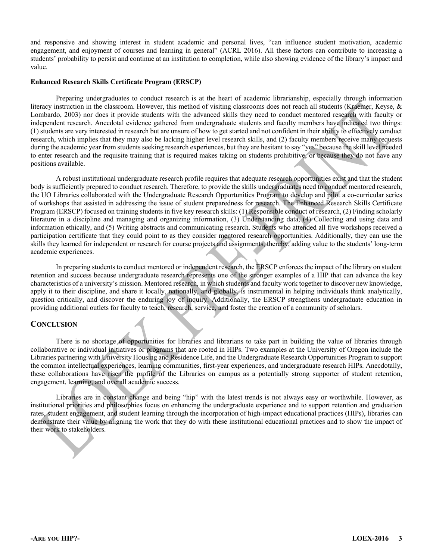and responsive and showing interest in student academic and personal lives, "can influence student motivation, academic engagement, and enjoyment of courses and learning in general" (ACRL 2016). All these factors can contribute to increasing a students' probability to persist and continue at an institution to completion, while also showing evidence of the library's impact and value.

#### **Enhanced Research Skills Certificate Program (ERSCP)**

Preparing undergraduates to conduct research is at the heart of academic librarianship, especially through information literacy instruction in the classroom. However, this method of visiting classrooms does not reach all students (Kraemer, Keyse, & Lombardo, 2003) nor does it provide students with the advanced skills they need to conduct mentored research with faculty or independent research. Anecdotal evidence gathered from undergraduate students and faculty members have indicated two things: (1) students are very interested in research but are unsure of how to get started and not confident in their ability to effectively conduct research, which implies that they may also be lacking higher level research skills, and (2) faculty members receive many requests during the academic year from students seeking research experiences, but they are hesitant to say "yes" because the skill level needed to enter research and the requisite training that is required makes taking on students prohibitive, or because they do not have any positions available.

A robust institutional undergraduate research profile requires that adequate research opportunities exist and that the student body is sufficiently prepared to conduct research. Therefore, to provide the skills undergraduates need to conduct mentored research, the UO Libraries collaborated with the Undergraduate Research Opportunities Program to develop and pilot a co-curricular series of workshops that assisted in addressing the issue of student preparedness for research. The Enhanced Research Skills Certificate Program (ERSCP) focused on training students in five key research skills: (1) Responsible conduct of research, (2) Finding scholarly literature in a discipline and managing and organizing information, (3) Understanding data, (4) Collecting and using data and information ethically, and (5) Writing abstracts and communicating research. Students who attended all five workshops received a participation certificate that they could point to as they consider mentored research opportunities. Additionally, they can use the skills they learned for independent or research for course projects and assignments, thereby, adding value to the students' long-term academic experiences.

In preparing students to conduct mentored or independent research, the ERSCP enforces the impact of the library on student retention and success because undergraduate research represents one of the stronger examples of a HIP that can advance the key characteristics of a university's mission. Mentored research, in which students and faculty work together to discover new knowledge, apply it to their discipline, and share it locally, nationally, and globally, is instrumental in helping individuals think analytically, question critically, and discover the enduring joy of inquiry. Additionally, the ERSCP strengthens undergraduate education in providing additional outlets for faculty to teach, research, service, and foster the creation of a community of scholars.

#### **CONCLUSION**

There is no shortage of opportunities for libraries and librarians to take part in building the value of libraries through collaborative or individual initiatives or programs that are rooted in HIPs. Two examples at the University of Oregon include the Libraries partnering with University Housing and Residence Life, and the Undergraduate Research Opportunities Program to support the common intellectual experiences, learning communities, first-year experiences, and undergraduate research HIPs. Anecdotally, these collaborations have risen the profile of the Libraries on campus as a potentially strong supporter of student retention, engagement, learning, and overall academic success.

Libraries are in constant change and being "hip" with the latest trends is not always easy or worthwhile. However, as institutional priorities and philosophies focus on enhancing the undergraduate experience and to support retention and graduation rates, student engagement, and student learning through the incorporation of high-impact educational practices (HIPs), libraries can demonstrate their value by aligning the work that they do with these institutional educational practices and to show the impact of their work to stakeholders.